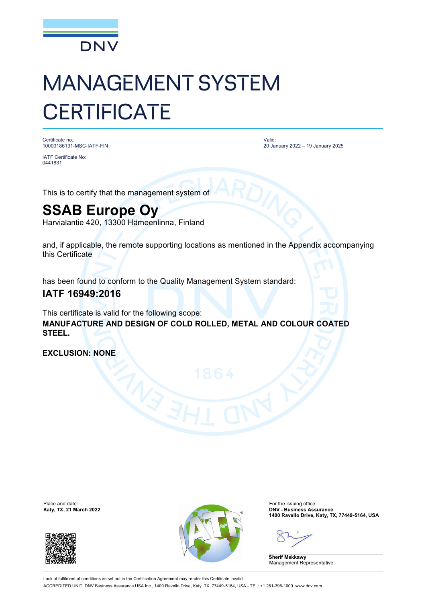

# MANAGEMENT SYSTEM **CERTIFICATE**

Certificate no.: 10000186131-MSC-IATF-FIN

IATF Certificate No: 0441831

Valid: 20 January 2022 – 19 January 2025

This is to certify that the management system of

## **SSAB Europe Oy**

Harvialantie 420, 13300 Hämeenlinna, Finland

and, if applicable, the remote supporting locations as mentioned in the Appendix accompanying this Certificate

has been found to conform to the Quality Management System standard:

### **IATF 16949:2016**

This certificate is valid for the following scope: **MANUFACTURE AND DESIGN OF COLD ROLLED, METAL AND COLOUR COATED STEEL.**

**EXCLUSION: NONE**

Place and date:<br>Katy, TX, 21 March 2022





For the issuing office:<br>**DNV - Business Assurance 1400 Ravello Drive, Katy, TX, 77449-5164, USA**

**Sherif Mekkawy** Management Representative